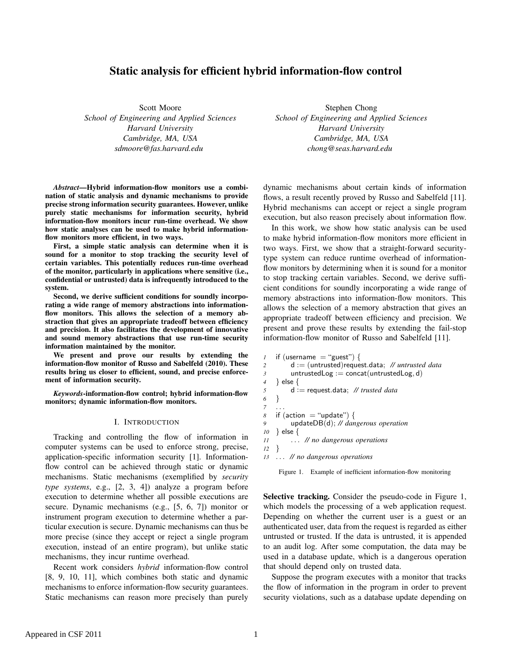# Static analysis for efficient hybrid information-flow control

Scott Moore *School of Engineering and Applied Sciences Harvard University Cambridge, MA, USA sdmoore@fas.harvard.edu*

*Abstract*—Hybrid information-flow monitors use a combination of static analysis and dynamic mechanisms to provide precise strong information security guarantees. However, unlike purely static mechanisms for information security, hybrid information-flow monitors incur run-time overhead. We show how static analyses can be used to make hybrid informationflow monitors more efficient, in two ways.

First, a simple static analysis can determine when it is sound for a monitor to stop tracking the security level of certain variables. This potentially reduces run-time overhead of the monitor, particularly in applications where sensitive (i.e., confidential or untrusted) data is infrequently introduced to the system.

Second, we derive sufficient conditions for soundly incorporating a wide range of memory abstractions into informationflow monitors. This allows the selection of a memory abstraction that gives an appropriate tradeoff between efficiency and precision. It also facilitates the development of innovative and sound memory abstractions that use run-time security information maintained by the monitor.

We present and prove our results by extending the information-flow monitor of Russo and Sabelfeld (2010). These results bring us closer to efficient, sound, and precise enforcement of information security.

*Keywords*-information-flow control; hybrid information-flow monitors; dynamic information-flow monitors.

### I. INTRODUCTION

Tracking and controlling the flow of information in computer systems can be used to enforce strong, precise, application-specific information security [1]. Informationflow control can be achieved through static or dynamic mechanisms. Static mechanisms (exemplified by *security type systems*, e.g., [2, 3, 4]) analyze a program before execution to determine whether all possible executions are secure. Dynamic mechanisms (e.g., [5, 6, 7]) monitor or instrument program execution to determine whether a particular execution is secure. Dynamic mechanisms can thus be more precise (since they accept or reject a single program execution, instead of an entire program), but unlike static mechanisms, they incur runtime overhead.

Recent work considers *hybrid* information-flow control [8, 9, 10, 11], which combines both static and dynamic mechanisms to enforce information-flow security guarantees. Static mechanisms can reason more precisely than purely

Stephen Chong *School of Engineering and Applied Sciences Harvard University Cambridge, MA, USA chong@seas.harvard.edu*

dynamic mechanisms about certain kinds of information flows, a result recently proved by Russo and Sabelfeld [11]. Hybrid mechanisms can accept or reject a single program execution, but also reason precisely about information flow.

In this work, we show how static analysis can be used to make hybrid information-flow monitors more efficient in two ways. First, we show that a straight-forward securitytype system can reduce runtime overhead of informationflow monitors by determining when it is sound for a monitor to stop tracking certain variables. Second, we derive sufficient conditions for soundly incorporating a wide range of memory abstractions into information-flow monitors. This allows the selection of a memory abstraction that gives an appropriate tradeoff between efficiency and precision. We present and prove these results by extending the fail-stop information-flow monitor of Russo and Sabelfeld [11].

```
1 if (username = "guest") {
2 d := (untrusted)request.data; // untrusted data
3 untrustedLog := concat(untrustedLog, d)
4 } else {
5 d := request.data; // trusted data
6 }
7 . . .
8 if (action = "update") {
9 updateDB(d); // dangerous operation
10 } else {
11 . . . // no dangerous operations
12 }
13 . . . // no dangerous operations
```
Figure 1. Example of inefficient information-flow monitoring

Selective tracking. Consider the pseudo-code in Figure 1, which models the processing of a web application request. Depending on whether the current user is a guest or an authenticated user, data from the request is regarded as either untrusted or trusted. If the data is untrusted, it is appended to an audit log. After some computation, the data may be used in a database update, which is a dangerous operation that should depend only on trusted data.

Suppose the program executes with a monitor that tracks the flow of information in the program in order to prevent security violations, such as a database update depending on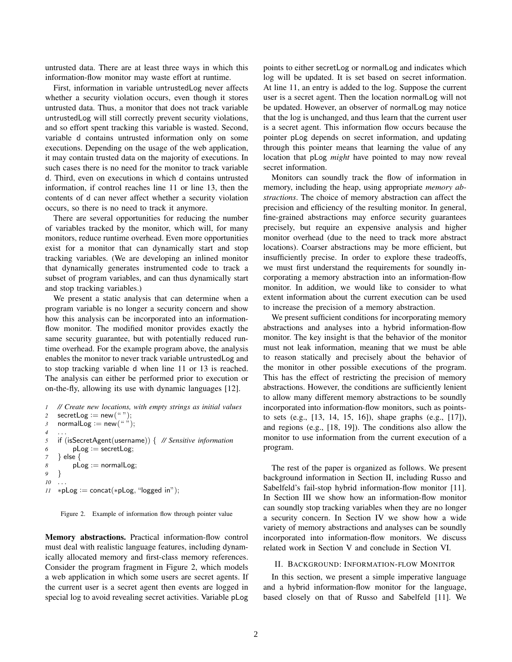untrusted data. There are at least three ways in which this information-flow monitor may waste effort at runtime.

First, information in variable untrustedLog never affects whether a security violation occurs, even though it stores untrusted data. Thus, a monitor that does not track variable untrustedLog will still correctly prevent security violations, and so effort spent tracking this variable is wasted. Second, variable d contains untrusted information only on some executions. Depending on the usage of the web application, it may contain trusted data on the majority of executions. In such cases there is no need for the monitor to track variable d. Third, even on executions in which d contains untrusted information, if control reaches line 11 or line 13, then the contents of d can never affect whether a security violation occurs, so there is no need to track it anymore.

There are several opportunities for reducing the number of variables tracked by the monitor, which will, for many monitors, reduce runtime overhead. Even more opportunities exist for a monitor that can dynamically start and stop tracking variables. (We are developing an inlined monitor that dynamically generates instrumented code to track a subset of program variables, and can thus dynamically start and stop tracking variables.)

We present a static analysis that can determine when a program variable is no longer a security concern and show how this analysis can be incorporated into an informationflow monitor. The modified monitor provides exactly the same security guarantee, but with potentially reduced runtime overhead. For the example program above, the analysis enables the monitor to never track variable untrustedLog and to stop tracking variable d when line 11 or 13 is reached. The analysis can either be performed prior to execution or on-the-fly, allowing its use with dynamic languages [12].

```
1 // Create new locations, with empty strings as initial values
2 secretLog := new (""):3 normalLog := new("");
4 . . .
5 if (isSecretAgent(username)) { // Sensitive information
6 pLog := secretLog;
7 } else {
8 pLog := normalLog;
9 }
10 . . .
11 ∗pLog := concat(*pLog, "logged in");
```
Figure 2. Example of information flow through pointer value

Memory abstractions. Practical information-flow control must deal with realistic language features, including dynamically allocated memory and first-class memory references. Consider the program fragment in Figure 2, which models a web application in which some users are secret agents. If the current user is a secret agent then events are logged in special log to avoid revealing secret activities. Variable pLog points to either secretLog or normalLog and indicates which log will be updated. It is set based on secret information. At line 11, an entry is added to the log. Suppose the current user is a secret agent. Then the location normalLog will not be updated. However, an observer of normalLog may notice that the log is unchanged, and thus learn that the current user is a secret agent. This information flow occurs because the pointer pLog depends on secret information, and updating through this pointer means that learning the value of any location that pLog *might* have pointed to may now reveal secret information.

Monitors can soundly track the flow of information in memory, including the heap, using appropriate *memory abstractions*. The choice of memory abstraction can affect the precision and efficiency of the resulting monitor. In general, fine-grained abstractions may enforce security guarantees precisely, but require an expensive analysis and higher monitor overhead (due to the need to track more abstract locations). Coarser abstractions may be more efficient, but insufficiently precise. In order to explore these tradeoffs, we must first understand the requirements for soundly incorporating a memory abstraction into an information-flow monitor. In addition, we would like to consider to what extent information about the current execution can be used to increase the precision of a memory abstraction.

We present sufficient conditions for incorporating memory abstractions and analyses into a hybrid information-flow monitor. The key insight is that the behavior of the monitor must not leak information, meaning that we must be able to reason statically and precisely about the behavior of the monitor in other possible executions of the program. This has the effect of restricting the precision of memory abstractions. However, the conditions are sufficiently lenient to allow many different memory abstractions to be soundly incorporated into information-flow monitors, such as pointsto sets (e.g., [13, 14, 15, 16]), shape graphs (e.g., [17]), and regions (e.g., [18, 19]). The conditions also allow the monitor to use information from the current execution of a program.

The rest of the paper is organized as follows. We present background information in Section II, including Russo and Sabelfeld's fail-stop hybrid information-flow monitor [11]. In Section III we show how an information-flow monitor can soundly stop tracking variables when they are no longer a security concern. In Section IV we show how a wide variety of memory abstractions and analyses can be soundly incorporated into information-flow monitors. We discuss related work in Section V and conclude in Section VI.

### II. BACKGROUND: INFORMATION-FLOW MONITOR

In this section, we present a simple imperative language and a hybrid information-flow monitor for the language, based closely on that of Russo and Sabelfeld [11]. We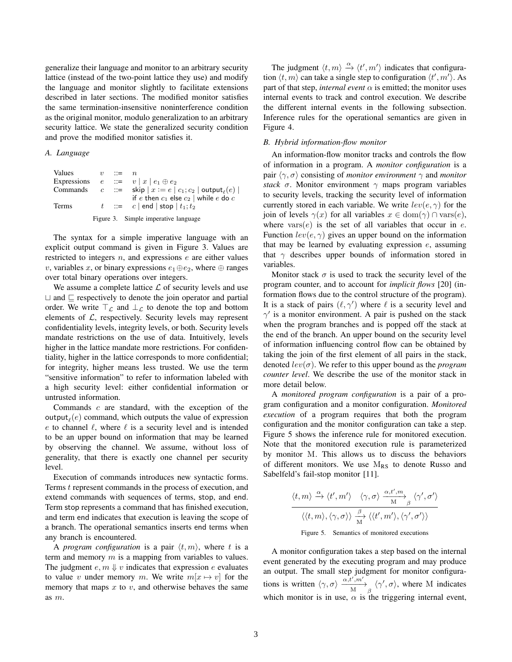generalize their language and monitor to an arbitrary security lattice (instead of the two-point lattice they use) and modify the language and monitor slightly to facilitate extensions described in later sections. The modified monitor satisfies the same termination-insensitive noninterference condition as the original monitor, modulo generalization to an arbitrary security lattice. We state the generalized security condition and prove the modified monitor satisfies it.

## *A. Language*

| Values | $v := n$ |                                                                                |
|--------|----------|--------------------------------------------------------------------------------|
|        |          | Expressions $e ::= v   x   e_1 \oplus e_2$                                     |
|        |          | Commands $c ::=$ skip $x := e \mid c_1; c_2 \mid \text{output}_{\ell}(e) \mid$ |
|        |          | if e then $c_1$ else $c_2$ while e do c                                        |
| Terms  |          | $t$ ::= $c$   end   stop   $t_1$ ; $t_2$                                       |
|        |          | Figure 3. Simple imperative language                                           |

The syntax for a simple imperative language with an explicit output command is given in Figure 3. Values are restricted to integers  $n$ , and expressions  $e$  are either values v, variables x, or binary expressions  $e_1 \oplus e_2$ , where  $\oplus$  ranges over total binary operations over integers.

We assume a complete lattice  $\mathcal L$  of security levels and use  $\sqcup$  and  $\sqsubseteq$  respectively to denote the join operator and partial order. We write  $\top_{\mathcal{L}}$  and  $\bot_{\mathcal{L}}$  to denote the top and bottom elements of  $L$ , respectively. Security levels may represent confidentiality levels, integrity levels, or both. Security levels mandate restrictions on the use of data. Intuitively, levels higher in the lattice mandate more restrictions. For confidentiality, higher in the lattice corresponds to more confidential; for integrity, higher means less trusted. We use the term "sensitive information" to refer to information labeled with a high security level: either confidential information or untrusted information.

Commands  $c$  are standard, with the exception of the output $_{\ell}(e)$  command, which outputs the value of expression  $e$  to channel  $\ell$ , where  $\ell$  is a security level and is intended to be an upper bound on information that may be learned by observing the channel. We assume, without loss of generality, that there is exactly one channel per security level.

Execution of commands introduces new syntactic forms. Terms t represent commands in the process of execution, and extend commands with sequences of terms, stop, and end. Term stop represents a command that has finished execution, and term end indicates that execution is leaving the scope of a branch. The operational semantics inserts end terms when any branch is encountered.

A *program configuration* is a pair  $\langle t, m \rangle$ , where t is a term and memory  $m$  is a mapping from variables to values. The judgment  $e, m \Downarrow v$  indicates that expression e evaluates to value v under memory m. We write  $m[x \mapsto v]$  for the memory that maps  $x$  to  $v$ , and otherwise behaves the same as m.

The judgment  $\langle t, m \rangle \stackrel{\alpha}{\rightarrow} \langle t', m' \rangle$  indicates that configuration  $\langle t, m \rangle$  can take a single step to configuration  $\langle t', m' \rangle$ . As part of that step, *internal event*  $\alpha$  is emitted; the monitor uses internal events to track and control execution. We describe the different internal events in the following subsection. Inference rules for the operational semantics are given in Figure 4.

# *B. Hybrid information-flow monitor*

An information-flow monitor tracks and controls the flow of information in a program. A *monitor configuration* is a pair  $\langle \gamma, \sigma \rangle$  consisting of *monitor environment*  $\gamma$  and *monitor stack*  $\sigma$ . Monitor environment  $\gamma$  maps program variables to security levels, tracking the security level of information currently stored in each variable. We write  $lev(e, \gamma)$  for the join of levels  $\gamma(x)$  for all variables  $x \in \text{dom}(\gamma) \cap \text{vars}(e)$ , where  $\text{vars}(e)$  is the set of all variables that occur in e. Function  $lev(e, \gamma)$  gives an upper bound on the information that may be learned by evaluating expression  $e$ , assuming that  $\gamma$  describes upper bounds of information stored in variables.

Monitor stack  $\sigma$  is used to track the security level of the program counter, and to account for *implicit flows* [20] (information flows due to the control structure of the program). It is a stack of pairs  $(\ell, \gamma')$  where  $\ell$  is a security level and  $\gamma'$  is a monitor environment. A pair is pushed on the stack when the program branches and is popped off the stack at the end of the branch. An upper bound on the security level of information influencing control flow can be obtained by taking the join of the first element of all pairs in the stack, denoted  $lev(\sigma)$ . We refer to this upper bound as the *program counter level*. We describe the use of the monitor stack in more detail below.

A *monitored program configuration* is a pair of a program configuration and a monitor configuration. *Monitored execution* of a program requires that both the program configuration and the monitor configuration can take a step. Figure 5 shows the inference rule for monitored execution. Note that the monitored execution rule is parameterized by monitor M. This allows us to discuss the behaviors of different monitors. We use  $M_{RS}$  to denote Russo and Sabelfeld's fail-stop monitor [11].

$$
\frac{\langle t,m \rangle \xrightarrow{\alpha} \langle t',m' \rangle \quad \langle \gamma,\sigma \rangle \xrightarrow{\alpha,t',m}_{\text{M}} \langle \gamma',\sigma' \rangle}{\langle \langle t,m \rangle,\langle \gamma,\sigma \rangle \rangle \xrightarrow{\beta}_{\text{M}} \langle \langle t',m' \rangle,\langle \gamma',\sigma' \rangle \rangle}
$$

Figure 5. Semantics of monitored executions

A monitor configuration takes a step based on the internal event generated by the executing program and may produce an output. The small step judgment for monitor configurations is written  $\langle \gamma, \sigma \rangle \frac{\alpha, t', m'}{M}$   $\langle \gamma', \sigma \rangle$ , where M indicates which monitor is in use,  $\alpha$  is the triggering internal event,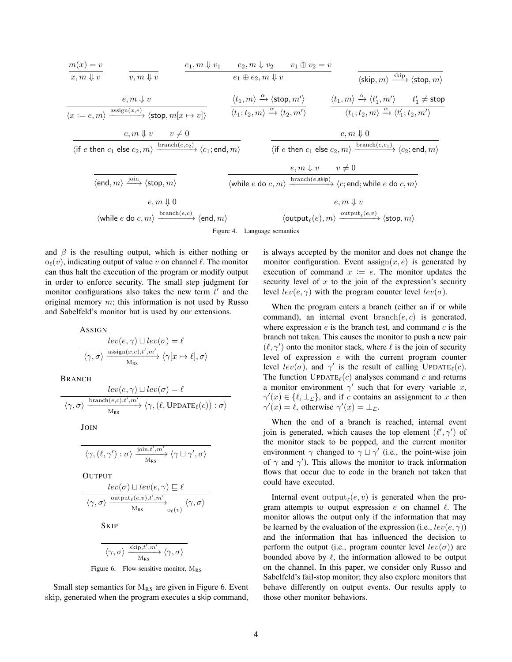$$
\begin{array}{llll}\n\hline\nm(x) = v & & e_1, m \Downarrow v_1 & e_2, m \Downarrow v_2 & v_1 \oplus v_2 = v \\
\hline\nx, m \Downarrow v & & e_1 \oplus e_2, m \Downarrow v & & \langle \text{skip}, m \rangle \xrightarrow{\text{skip}} \langle \text{stop}, m \rangle \\
\hline\n& & e, m \Downarrow v & & \langle t_1, m \rangle \xrightarrow{\alpha} \langle \text{stop}, m' \rangle & & \langle t_1, m \rangle \xrightarrow{\alpha} \langle t_1, m' \rangle & t_1' \neq \text{stop} \\
\hline\n\langle x := e, m \rangle \xrightarrow{\text{assign}(x, e)} \langle \text{stop}, m[x \mapsto v] \rangle & & \langle t_1, m \rangle \xrightarrow{\alpha} \langle t_2, m' \rangle & & \langle t_1, m' \rangle & t_1' \neq \text{stop} \\
\hline\n& & e, m \Downarrow v & v \neq 0 & & e, m \Downarrow 0 \\
\hline\n\langle \text{if } e \text{ then } c_1 \text{ else } c_2, m \rangle \xrightarrow{\text{branch}(e, c_2)} \langle c_1; \text{end}, m \rangle & & \langle \text{if } e \text{ then } c_1 \text{ else } c_2, m \rangle \xrightarrow{\text{branch}(e, c_1)} \langle c_2; \text{end}, m \rangle \\
\hline\n& & & \langle \text{end}, m \rangle & & \langle \text{stop}, m \rangle & & \langle \text{while } e \text{ do } c, m \rangle \xrightarrow{\text{branch}(e, s \mapsto \text{bin})} \langle c; \text{end}, \text{while } e \text{ do } c, m \rangle \\
\hline\n\langle \text{while } e \text{ do } c, m \rangle & & \langle \text{output}_\ell(e), m \rangle \xrightarrow{\text{output}_\ell(e, v)} \langle \text{stop}, m \rangle \\
\hline\n\langle \text{while } e \text{ do } c, m \rangle \xrightarrow{\text{branch}(e, c)} \langle \text{end}, m \rangle & & \langle \text{output}_\ell(e), m \rangle \xrightarrow{\text{output}_\ell(e, v)} \langle \text{stop}, m \rangle \\
\hline
$$

and  $\beta$  is the resulting output, which is either nothing or  $o_{\ell}(v)$ , indicating output of value v on channel  $\ell$ . The monitor can thus halt the execution of the program or modify output in order to enforce security. The small step judgment for monitor configurations also takes the new term  $t'$  and the original memory  $m$ ; this information is not used by Russo and Sabelfeld's monitor but is used by our extensions.

> ASSIGN  $lev(e, \gamma) \sqcup lev(\sigma) = \ell$  $\langle \gamma, \sigma \rangle \xrightarrow[\text{M}_{\text{RS}}]{\text{assign}(x, e), t', m' \text{ }} \langle \gamma[x \mapsto \ell], \sigma \rangle$

BRANCH

$$
\frac{lev(e,\gamma) \sqcup lev(\sigma) = \ell}{\langle \gamma, \sigma \rangle \xrightarrow{\text{branch}(e,c), t', m'} \langle \gamma, (\ell, \text{UPDATE}_{\ell}(c)) : \sigma \rangle}
$$

JOIN

$$
\langle \gamma, (\ell, \gamma') : \sigma \rangle \xrightarrow[\text{M}_{\text{RS}}]{\text{join}, t', m'} \langle \gamma \sqcup \gamma', \sigma \rangle
$$

OUTPUT

$$
\frac{lev(\sigma) \sqcup lev(e, \gamma) \sqsubseteq \ell}{\langle \gamma, \sigma \rangle \xrightarrow{\text{output}_{\ell}(e, v), t', m'}_{\text{MRS}} \langle \gamma, \sigma \rangle} \langle \gamma, \sigma \rangle
$$

**SKIP** 

$$
\overline{\langle\gamma,\sigma\rangle\xrightarrow[\text{M}_{\text{RS}}]{\text{skip},t',m'}\langle\gamma,\sigma\rangle}
$$

Figure 6. Flow-sensitive monitor,  $M_{RS}$ 

Small step semantics for  $M_{RS}$  are given in Figure 6. Event skip, generated when the program executes a skip command,

is always accepted by the monitor and does not change the monitor configuration. Event  $\operatorname{assign}(x, e)$  is generated by execution of command  $x := e$ . The monitor updates the security level of  $x$  to the join of the expression's security level  $lev(e, \gamma)$  with the program counter level  $lev(\sigma)$ .

When the program enters a branch (either an if or while command), an internal event  $branch(e, c)$  is generated, where expression  $e$  is the branch test, and command  $c$  is the branch not taken. This causes the monitor to push a new pair  $(\ell, \gamma')$  onto the monitor stack, where  $\ell$  is the join of security level of expression e with the current program counter level  $lev(\sigma)$ , and  $\gamma'$  is the result of calling UPDATE<sub> $\ell$ </sub>(c). The function  $UPDATE_{\ell}(c)$  analyses command c and returns a monitor environment  $\gamma'$  such that for every variable x,  $\gamma'(x) \in \{\ell, \perp_{\mathcal{L}}\},$  and if c contains an assignment to x then  $\gamma'(x) = \ell$ , otherwise  $\gamma'(x) = \bot_{\mathcal{L}}$ .

When the end of a branch is reached, internal event join is generated, which causes the top element  $(\ell', \gamma')$  of the monitor stack to be popped, and the current monitor environment  $\gamma$  changed to  $\gamma \sqcup \gamma'$  (i.e., the point-wise join of  $\gamma$  and  $\gamma'$ ). This allows the monitor to track information flows that occur due to code in the branch not taken that could have executed.

Internal event output $_{\ell}(e, v)$  is generated when the program attempts to output expression  $e$  on channel  $\ell$ . The monitor allows the output only if the information that may be learned by the evaluation of the expression (i.e.,  $lev(e, \gamma)$ ) and the information that has influenced the decision to perform the output (i.e., program counter level  $lev(\sigma)$ ) are bounded above by  $\ell$ , the information allowed to be output on the channel. In this paper, we consider only Russo and Sabelfeld's fail-stop monitor; they also explore monitors that behave differently on output events. Our results apply to those other monitor behaviors.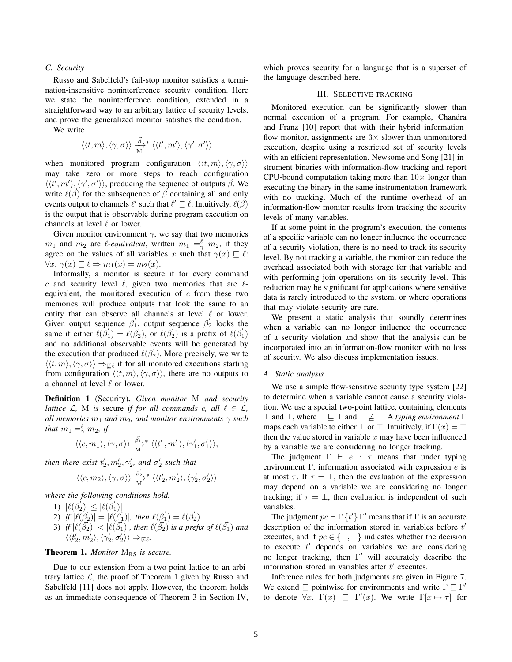# *C. Security*

Russo and Sabelfeld's fail-stop monitor satisfies a termination-insensitive noninterference security condition. Here we state the noninterference condition, extended in a straightforward way to an arbitrary lattice of security levels, and prove the generalized monitor satisfies the condition.

We write

$$
\langle \langle t,m\rangle, \langle \gamma,\sigma\rangle \rangle \xrightarrow[M]{\vec{\beta}}^* \langle \langle t',m'\rangle, \langle \gamma',\sigma'\rangle \rangle
$$

when monitored program configuration  $\langle \langle t, m \rangle, \langle \gamma, \sigma \rangle \rangle$ may take zero or more steps to reach configuration  $\langle \langle t', m' \rangle, \langle \gamma', \sigma' \rangle \rangle$ , producing the sequence of outputs  $\vec{\beta}$ . We write  $\ell(\vec{\beta})$  for the subsequence of  $\vec{\beta}$  containing all and only events output to channels  $\ell'$  such that  $\ell' \sqsubseteq \ell$ . Intuitively,  $\ell(\vec{\beta})$ is the output that is observable during program execution on channels at level  $\ell$  or lower.

Given monitor environment  $\gamma$ , we say that two memories  $m_1$  and  $m_2$  are *l*-equivalent, written  $m_1 = \frac{\ell}{\gamma} m_2$ , if they agree on the values of all variables x such that  $\gamma(x) \sqsubseteq \ell$ :  $\forall x. \ \gamma(x) \sqsubseteq \ell \Rightarrow m_1(x) = m_2(x).$ 

Informally, a monitor is secure if for every command c and security level  $\ell$ , given two memories that are  $\ell$ equivalent, the monitored execution of  $c$  from these two memories will produce outputs that look the same to an entity that can observe all channels at level  $\ell$  or lower. Given output sequence  $\vec{\beta_1}$ , output sequence  $\vec{\beta_2}$  looks the same if either  $\ell(\vec{\beta}_1) = \ell(\vec{\beta}_2)$ , or  $\ell(\vec{\beta}_2)$  is a prefix of  $\ell(\vec{\beta}_1)$ and no additional observable events will be generated by the execution that produced  $\ell(\vec{\beta_2})$ . More precisely, we write  $\langle\langle t,m\rangle,\langle\gamma,\sigma\rangle\rangle \Rightarrow_{\mathbb{Z}\ell}$  if for all monitored executions starting from configuration  $\langle\langle t,m\rangle,\langle\gamma,\sigma\rangle\rangle$ , there are no outputs to a channel at level  $\ell$  or lower.

Definition 1 (Security). *Given monitor* M *and security lattice*  $\mathcal{L}$ *,* M *is* secure *if for all commands c, all*  $\ell \in \mathcal{L}$ *, all memories*  $m_1$  *and*  $m_2$ *, and monitor environments*  $\gamma$  *such that*  $m_1 =^{\ell}_{\gamma} m_2$ , *if* 

$$
\langle\langle c,m_1\rangle,\langle\gamma,\sigma\rangle\rangle\stackrel{\beta_1^*}{\longrightarrow}^*\langle\langle t_1',m_1'\rangle,\langle\gamma_1',\sigma_1'\rangle\rangle,
$$

*then there exist*  $t'_2, m'_2, \gamma'_2$ *, and*  $\sigma'_2$  *such that* 

$$
\langle \langle c, m_2 \rangle, \langle \gamma, \sigma \rangle \rangle \xrightarrow[M]{\vec{\beta_2}}^* \langle \langle t_2', m_2' \rangle, \langle \gamma_2', \sigma_2' \rangle \rangle
$$

*where the following conditions hold.*

1)  $|\ell(\vec{\beta_2})| \leq |\ell(\vec{\beta_1})|$ 2) if  $|\ell(\vec{\beta}_2)| = |\ell(\vec{\beta}_1)|$ , then  $\ell(\vec{\beta}_1) = \ell(\vec{\beta}_2)$ 

3) if 
$$
|\ell(\overline{\beta_2})| < |\ell(\overline{\beta_1})|
$$
, then  $\ell(\overline{\beta_2})$  is a prefix of  $\ell(\overline{\beta_1})$  and   
 $\langle \langle t'_2, m'_2 \rangle, \langle \gamma'_2, \sigma'_2 \rangle \rangle \Rightarrow \underline{\varphi_{\ell}}$ .

# Theorem 1. *Monitor* M<sub>RS</sub> is secure.

Due to our extension from a two-point lattice to an arbitrary lattice  $\mathcal{L}$ , the proof of Theorem 1 given by Russo and Sabelfeld [11] does not apply. However, the theorem holds as an immediate consequence of Theorem 3 in Section IV, which proves security for a language that is a superset of the language described here.

#### III. SELECTIVE TRACKING

Monitored execution can be significantly slower than normal execution of a program. For example, Chandra and Franz [10] report that with their hybrid informationflow monitor, assignments are  $3 \times$  slower than unmonitored execution, despite using a restricted set of security levels with an efficient representation. Newsome and Song [21] instrument binaries with information-flow tracking and report CPU-bound computation taking more than  $10\times$  longer than executing the binary in the same instrumentation framework with no tracking. Much of the runtime overhead of an information-flow monitor results from tracking the security levels of many variables.

If at some point in the program's execution, the contents of a specific variable can no longer influence the occurrence of a security violation, there is no need to track its security level. By not tracking a variable, the monitor can reduce the overhead associated both with storage for that variable and with performing join operations on its security level. This reduction may be significant for applications where sensitive data is rarely introduced to the system, or where operations that may violate security are rare.

We present a static analysis that soundly determines when a variable can no longer influence the occurrence of a security violation and show that the analysis can be incorporated into an information-flow monitor with no loss of security. We also discuss implementation issues.

#### *A. Static analysis*

We use a simple flow-sensitive security type system [22] to determine when a variable cannot cause a security violation. We use a special two-point lattice, containing elements  $\perp$  and  $\top$ , where  $\perp \sqsubseteq \top$  and  $\top \not\sqsubseteq \perp$ . A *typing environment*  $\Gamma$ maps each variable to either  $\bot$  or  $\top$ . Intuitively, if  $\Gamma(x) = \top$ then the value stored in variable  $x$  may have been influenced by a variable we are considering no longer tracking.

The judgment  $\Gamma \vdash e : \tau$  means that under typing environment  $\Gamma$ , information associated with expression e is at most  $\tau$ . If  $\tau = \top$ , then the evaluation of the expression may depend on a variable we are considering no longer tracking; if  $\tau = \perp$ , then evaluation is independent of such variables.

The judgment  $pc \vdash \Gamma \{ t' \} \Gamma'$  means that if  $\Gamma$  is an accurate description of the information stored in variables before  $t'$ executes, and if  $pc \in \{\perp, \perp\}$  indicates whether the decision to execute  $t'$  depends on variables we are considering no longer tracking, then  $\Gamma'$  will accurately describe the information stored in variables after  $t'$  executes.

Inference rules for both judgments are given in Figure 7. We extend  $\subseteq$  pointwise for environments and write  $\Gamma \subseteq \Gamma'$ to denote  $\forall x$ .  $\Gamma(x) \subseteq \Gamma'(x)$ . We write  $\Gamma[x \mapsto \tau]$  for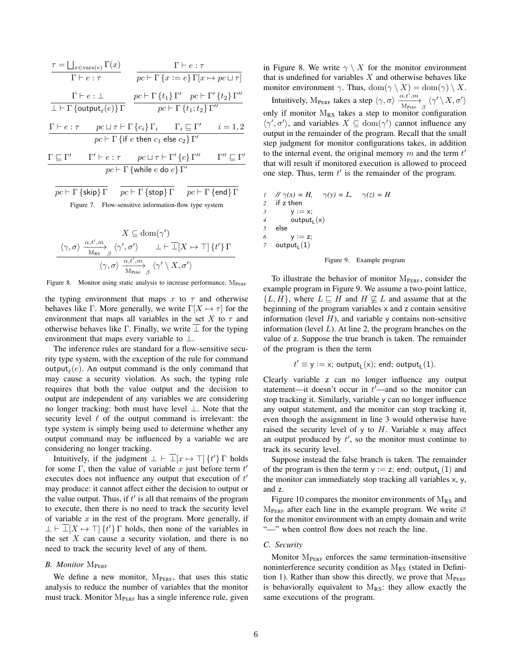$$
\begin{array}{c|c} \tau=\bigsqcup_{x\in \mathrm{vars}(e)}\Gamma(x) & \Gamma\vdash e:\tau \\ \hline \Gamma\vdash e:\tau & pc\vdash \Gamma\left\{x:=e\right\}\Gamma[x\mapsto pc\sqcup \tau] \\ \hline \bot\vdash \Gamma\left\{\text{output}_\ell(e)\right\}\Gamma & \frac{pc\vdash \Gamma\left\{t_1\right\}\Gamma' & pc\vdash \Gamma'\left\{t_2\right\}\Gamma''}{pc\vdash \Gamma\left\{t_1;t_2\right\}\Gamma''} \\ \hline \frac{\Gamma\vdash e:\tau\qquad pc\sqcup \tau\vdash \Gamma\left\{c_i\right\}\Gamma_i\qquad \Gamma_i\sqsubseteq \Gamma'\qquad i=1,2}{pc\vdash \Gamma\left\{\text{if }e\text{ then }c_1\text{ else }c_2\right\}\Gamma'} \\ \hline \frac{\Gamma\sqsubseteq \Gamma'\qquad \Gamma'\vdash e:\tau\qquad pc\sqcup \tau\vdash \Gamma'\left\{c\right\}\Gamma''\qquad \Gamma''\sqsubseteq \Gamma'}{pc\vdash \Gamma\left\{\text{while }e\text{ do }c\right\}\Gamma'} \\ \hline \frac{\Gamma\vdash e:\tau\qquad pc\sqcup \tau\vdash \Gamma'\left\{c\right\}\Gamma''\qquad \Gamma''\sqsubseteq \Gamma'}{pc\vdash \Gamma\left\{\text{skip}\right\}\Gamma\qquad \overline{pc\vdash \Gamma\left\{\text{stop}\right\}\Gamma\qquad \overline{pc\vdash \Gamma\left\{\text{end}\right\}\Gamma}} \end{array}
$$

Figure 7. Flow-sensitive information-flow type system

$$
X \subseteq \text{dom}(\gamma')
$$
\n
$$
\langle \gamma, \sigma \rangle \xrightarrow{\alpha, t', m}_{\text{M}_{\text{RS}}} \langle \gamma', \sigma' \rangle \qquad \perp \vdash \overline{\perp}[X \mapsto \top] \{t'\} \Gamma
$$
\n
$$
\langle \gamma, \sigma \rangle \xrightarrow{\alpha, t', m}_{\text{M}_{\text{PERF}}} \langle \gamma' \setminus X, \sigma' \rangle
$$

Figure 8. Monitor using static analysis to increase performance,  $M_{\text{PERF}}$ 

the typing environment that maps x to  $\tau$  and otherwise behaves like Γ. More generally, we write  $\Gamma[X \mapsto \tau]$  for the environment that maps all variables in the set X to  $\tau$  and otherwise behaves like Γ. Finally, we write  $\perp$  for the typing environment that maps every variable to  $\bot$ .

The inference rules are standard for a flow-sensitive security type system, with the exception of the rule for command output $_{\ell}(e)$ . An output command is the only command that may cause a security violation. As such, the typing rule requires that both the value output and the decision to output are independent of any variables we are considering no longer tracking: both must have level ⊥. Note that the security level  $\ell$  of the output command is irrelevant: the type system is simply being used to determine whether any output command may be influenced by a variable we are considering no longer tracking.

Intuitively, if the judgment  $\bot \vdash \overline{\bot}[x \mapsto \top] \{t'\} \Gamma$  holds for some  $\Gamma$ , then the value of variable x just before term  $t'$ executes does not influence any output that execution of  $t'$ may produce: it cannot affect either the decision to output or the value output. Thus, if  $t'$  is all that remains of the program to execute, then there is no need to track the security level of variable  $x$  in the rest of the program. More generally, if  $\perp \vdash \perp [X \mapsto \top]$  {t'}  $\Gamma$  holds, then none of the variables in the set  $X$  can cause a security violation, and there is no need to track the security level of any of them.

# *B. Monitor* M<sub>PERF</sub>

We define a new monitor,  $M_{PERF}$ , that uses this static analysis to reduce the number of variables that the monitor must track. Monitor  $M_{PERF}$  has a single inference rule, given in Figure 8. We write  $\gamma \setminus X$  for the monitor environment that is undefined for variables  $X$  and otherwise behaves like monitor environment  $\gamma$ . Thus,  $\text{dom}(\gamma \setminus X) = \text{dom}(\gamma) \setminus X$ .

Intuitively, M<sub>PERF</sub> takes a step  $\langle \gamma, \sigma \rangle \xrightarrow{\alpha, t', m \text{M}_{\text{PERF}}} \langle \gamma' \setminus X, \sigma' \rangle$ only if monitor  $M_{RS}$  takes a step to monitor configuration  $\langle \gamma', \sigma' \rangle$ , and variables  $X \subseteq \text{dom}(\gamma')$  cannot influence any output in the remainder of the program. Recall that the small step judgment for monitor configurations takes, in addition to the internal event, the original memory  $m$  and the term  $t'$ that will result if monitored execution is allowed to proceed one step. Thus, term  $t'$  is the remainder of the program.

$$
1 \quad // \gamma(x) = H, \quad \gamma(y) = L, \quad \gamma(z) = H
$$
  
2 if z then  
3  $y := x;$   
4  $\text{output}_{L}(x)$   
5 else  
6  $y := z;$   
7  $\text{output}_{L}(1)$ 



To illustrate the behavior of monitor  $M_{PERF}$ , consider the example program in Figure 9. We assume a two-point lattice,  ${L, H}$ , where  $L \subseteq H$  and  $H \nsubseteq L$  and assume that at the beginning of the program variables  $\times$  and  $\times$  contain sensitive information (level  $H$ ), and variable y contains non-sensitive information (level  $L$ ). At line 2, the program branches on the value of z. Suppose the true branch is taken. The remainder of the program is then the term

$$
t' \equiv y := x; \text{ output}_{\mathsf{L}}(x); \text{ end}; \text{ output}_{\mathsf{L}}(1).
$$

Clearly variable z can no longer influence any output statement—it doesn't occur in  $t'$ —and so the monitor can stop tracking it. Similarly, variable y can no longer influence any output statement, and the monitor can stop tracking it, even though the assignment in line 3 would otherwise have raised the security level of  $\gamma$  to H. Variable  $\times$  may affect an output produced by  $t'$ , so the monitor must continue to track its security level.

Suppose instead the false branch is taken. The remainder of the program is then the term  $y := z$ ; end; output<sub>L</sub>(1) and the monitor can immediately stop tracking all variables x, y, and z.

Figure 10 compares the monitor environments of  $M_{RS}$  and  $M_{PERF}$  after each line in the example program. We write Ø for the monitor environment with an empty domain and write "—" when control flow does not reach the line.

# *C. Security*

Monitor  $M_{PERF}$  enforces the same termination-insensitive noninterference security condition as  $M_{RS}$  (stated in Definition 1). Rather than show this directly, we prove that  $M_{PERF}$ is behaviorally equivalent to  $M_{RS}$ : they allow exactly the same executions of the program.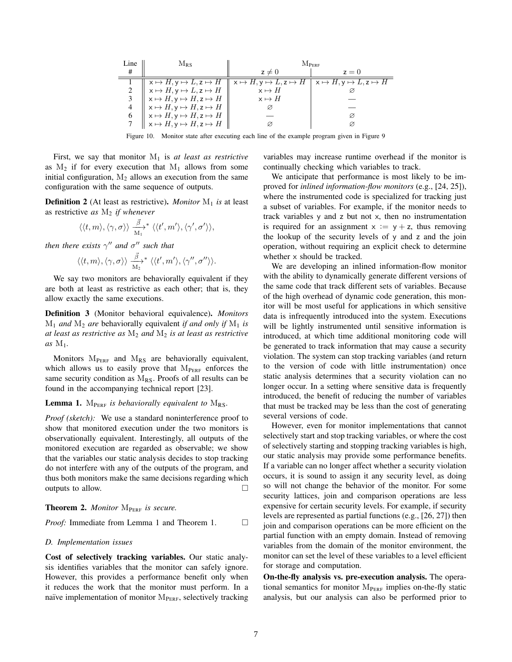| Line | $M_{RS}$                                                                                                                                                                                                                                                                                                                                                                                                                                                                                                          | $M_{PERF}$ |       |  |
|------|-------------------------------------------------------------------------------------------------------------------------------------------------------------------------------------------------------------------------------------------------------------------------------------------------------------------------------------------------------------------------------------------------------------------------------------------------------------------------------------------------------------------|------------|-------|--|
|      |                                                                                                                                                                                                                                                                                                                                                                                                                                                                                                                   | $z \neq 0$ | $z=0$ |  |
|      | $\begin{array}{ c c c c c } \hline & \times \mapsto H, y \mapsto L, z \mapsto H & \times \mapsto H, y \mapsto L, z \mapsto H & \times \mapsto H, y \mapsto L, z \mapsto H \\ & \times \mapsto H, y \mapsto L, z \mapsto H & & \times \mapsto H & & \varnothing \\ & \times \mapsto H, y \mapsto H, z \mapsto H & & \varnothing & & - \\ & \times \mapsto H, y \mapsto H, z \mapsto H & & \varnothing & & - \\ & \times \mapsto H, y \mapsto H, z \mapsto H & & \varnothing & & \varnothing \\ \hline \end{array}$ |            |       |  |
|      |                                                                                                                                                                                                                                                                                                                                                                                                                                                                                                                   |            |       |  |
|      |                                                                                                                                                                                                                                                                                                                                                                                                                                                                                                                   |            |       |  |
|      |                                                                                                                                                                                                                                                                                                                                                                                                                                                                                                                   |            |       |  |
|      |                                                                                                                                                                                                                                                                                                                                                                                                                                                                                                                   |            |       |  |
|      |                                                                                                                                                                                                                                                                                                                                                                                                                                                                                                                   |            |       |  |

Figure 10. Monitor state after executing each line of the example program given in Figure 9

First, we say that monitor  $M_1$  is *at least as restrictive* as  $M_2$  if for every execution that  $M_1$  allows from some initial configuration,  $M_2$  allows an execution from the same configuration with the same sequence of outputs.

**Definition 2** (At least as restrictive). *Monitor*  $M_1$  *is* at least as restrictive *as* M<sup>2</sup> *if whenever*

$$
\langle \langle t,m\rangle, \langle \gamma,\sigma\rangle \rangle \xrightarrow[N_1]{\vec{\beta}} {}^* \langle \langle t',m'\rangle, \langle \gamma',\sigma'\rangle \rangle,
$$

*then there exists*  $\gamma''$  *and*  $\sigma''$  *such that* 

$$
\langle \langle t,m\rangle, \langle \gamma,\sigma\rangle \rangle \xrightarrow[N_2]{\vec{\beta}}^* \langle \langle t',m'\rangle, \langle \gamma'',\sigma''\rangle \rangle.
$$

We say two monitors are behaviorally equivalent if they are both at least as restrictive as each other; that is, they allow exactly the same executions.

Definition 3 (Monitor behavioral equivalence). *Monitors*  $M_1$  *and*  $M_2$  *are* behaviorally equivalent *if and only if*  $M_1$  *is at least as restrictive as*  $M_2$  *and*  $M_2$  *is at least as restrictive as* M1*.*

Monitors  $M_{PERF}$  and  $M_{RS}$  are behaviorally equivalent, which allows us to easily prove that  $M_{PERF}$  enforces the same security condition as  $M_{RS}$ . Proofs of all results can be found in the accompanying technical report [23].

# **Lemma 1.**  $M_{PERF}$  *is behaviorally equivalent to*  $M_{RS}$ *.*

*Proof (sketch)*: We use a standard noninterference proof to show that monitored execution under the two monitors is observationally equivalent. Interestingly, all outputs of the monitored execution are regarded as observable; we show that the variables our static analysis decides to stop tracking do not interfere with any of the outputs of the program, and thus both monitors make the same decisions regarding which outputs to allow.

#### Theorem 2. *Monitor* M<sub>PERF</sub> is secure.

*Proof:* Immediate from Lemma 1 and Theorem 1. □

#### *D. Implementation issues*

Cost of selectively tracking variables. Our static analysis identifies variables that the monitor can safely ignore. However, this provides a performance benefit only when it reduces the work that the monitor must perform. In a naïve implementation of monitor  $M_{PERF}$ , selectively tracking variables may increase runtime overhead if the monitor is continually checking which variables to track.

We anticipate that performance is most likely to be improved for *inlined information-flow monitors* (e.g., [24, 25]), where the instrumented code is specialized for tracking just a subset of variables. For example, if the monitor needs to track variables y and z but not x, then no instrumentation is required for an assignment  $x := y + z$ , thus removing the lookup of the security levels of y and z and the join operation, without requiring an explicit check to determine whether x should be tracked.

We are developing an inlined information-flow monitor with the ability to dynamically generate different versions of the same code that track different sets of variables. Because of the high overhead of dynamic code generation, this monitor will be most useful for applications in which sensitive data is infrequently introduced into the system. Executions will be lightly instrumented until sensitive information is introduced, at which time additional monitoring code will be generated to track information that may cause a security violation. The system can stop tracking variables (and return to the version of code with little instrumentation) once static analysis determines that a security violation can no longer occur. In a setting where sensitive data is frequently introduced, the benefit of reducing the number of variables that must be tracked may be less than the cost of generating several versions of code.

However, even for monitor implementations that cannot selectively start and stop tracking variables, or where the cost of selectively starting and stopping tracking variables is high, our static analysis may provide some performance benefits. If a variable can no longer affect whether a security violation occurs, it is sound to assign it any security level, as doing so will not change the behavior of the monitor. For some security lattices, join and comparison operations are less expensive for certain security levels. For example, if security levels are represented as partial functions (e.g., [26, 27]) then join and comparison operations can be more efficient on the partial function with an empty domain. Instead of removing variables from the domain of the monitor environment, the monitor can set the level of these variables to a level efficient for storage and computation.

On-the-fly analysis vs. pre-execution analysis. The operational semantics for monitor  $M_{PERF}$  implies on-the-fly static analysis, but our analysis can also be performed prior to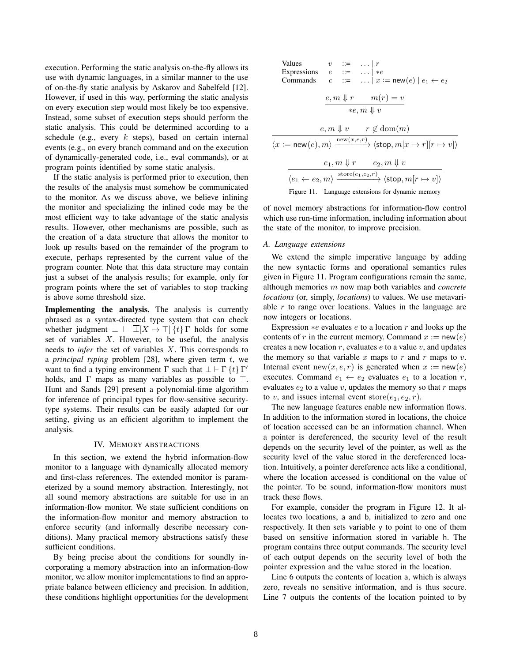execution. Performing the static analysis on-the-fly allows its use with dynamic languages, in a similar manner to the use of on-the-fly static analysis by Askarov and Sabelfeld [12]. However, if used in this way, performing the static analysis on every execution step would most likely be too expensive. Instead, some subset of execution steps should perform the static analysis. This could be determined according to a schedule (e.g., every  $k$  steps), based on certain internal events (e.g., on every branch command and on the execution of dynamically-generated code, i.e., eval commands), or at program points identified by some static analysis.

If the static analysis is performed prior to execution, then the results of the analysis must somehow be communicated to the monitor. As we discuss above, we believe inlining the monitor and specializing the inlined code may be the most efficient way to take advantage of the static analysis results. However, other mechanisms are possible, such as the creation of a data structure that allows the monitor to look up results based on the remainder of the program to execute, perhaps represented by the current value of the program counter. Note that this data structure may contain just a subset of the analysis results; for example, only for program points where the set of variables to stop tracking is above some threshold size.

Implementing the analysis. The analysis is currently phrased as a syntax-directed type system that can check whether judgment  $\bot \vdash \bot[X \mapsto \top] \{t\} \Gamma$  holds for some set of variables  $X$ . However, to be useful, the analysis needs to *infer* the set of variables X. This corresponds to a *principal typing* problem [28], where given term t, we want to find a typing environment  $\Gamma$  such that  $\bot \vdash \Gamma$  {t} Γ' holds, and  $\Gamma$  maps as many variables as possible to  $\top$ . Hunt and Sands [29] present a polynomial-time algorithm for inference of principal types for flow-sensitive securitytype systems. Their results can be easily adapted for our setting, giving us an efficient algorithm to implement the analysis.

#### IV. MEMORY ABSTRACTIONS

In this section, we extend the hybrid information-flow monitor to a language with dynamically allocated memory and first-class references. The extended monitor is parameterized by a sound memory abstraction. Interestingly, not all sound memory abstractions are suitable for use in an information-flow monitor. We state sufficient conditions on the information-flow monitor and memory abstraction to enforce security (and informally describe necessary conditions). Many practical memory abstractions satisfy these sufficient conditions.

By being precise about the conditions for soundly incorporating a memory abstraction into an information-flow monitor, we allow monitor implementations to find an appropriate balance between efficiency and precision. In addition, these conditions highlight opportunities for the development

| Values                                            |  |  |                                                                                                                                      |  |  |  |  |
|---------------------------------------------------|--|--|--------------------------------------------------------------------------------------------------------------------------------------|--|--|--|--|
| Values $v ::=    r$<br>Expressions $e ::=    *e$  |  |  |                                                                                                                                      |  |  |  |  |
|                                                   |  |  | Commands $c ::=    x := new(e)   e_1 \leftarrow e_2$                                                                                 |  |  |  |  |
|                                                   |  |  |                                                                                                                                      |  |  |  |  |
|                                                   |  |  | $e, m \Downarrow r$ $m(r) = v$                                                                                                       |  |  |  |  |
| $*e, m \Downarrow v$                              |  |  |                                                                                                                                      |  |  |  |  |
|                                                   |  |  |                                                                                                                                      |  |  |  |  |
| $e, m \Downarrow v \qquad r \notin \text{dom}(m)$ |  |  |                                                                                                                                      |  |  |  |  |
|                                                   |  |  | $\langle x := \mathsf{new}(e), m \rangle \xrightarrow{\text{new}(x,e,r)} \langle \mathsf{stop}, m[x \mapsto r][r \mapsto v] \rangle$ |  |  |  |  |
|                                                   |  |  | $e_1, m \Downarrow r$ $e_2, m \Downarrow v$                                                                                          |  |  |  |  |
|                                                   |  |  | $\langle e_1 \leftarrow e_2, m \rangle \xrightarrow{\text{store}(e_1, e_2, r)} \langle \text{stop}, m[r \mapsto v] \rangle$          |  |  |  |  |

Figure 11. Language extensions for dynamic memory

of novel memory abstractions for information-flow control which use run-time information, including information about the state of the monitor, to improve precision.

#### *A. Language extensions*

We extend the simple imperative language by adding the new syntactic forms and operational semantics rules given in Figure 11. Program configurations remain the same, although memories m now map both variables and *concrete locations* (or, simply, *locations*) to values. We use metavariable  $r$  to range over locations. Values in the language are now integers or locations.

Expression  $*e$  evaluates  $e$  to a location  $r$  and looks up the contents of r in the current memory. Command  $x := new(e)$ creates a new location  $r$ , evaluates  $e$  to a value  $v$ , and updates the memory so that variable x maps to r and r maps to v. Internal event  $new(x, e, r)$  is generated when  $x := new(e)$ executes. Command  $e_1 \leftarrow e_2$  evaluates  $e_1$  to a location r, evaluates  $e_2$  to a value  $v$ , updates the memory so that  $r$  maps to v, and issues internal event store $(e_1, e_2, r)$ .

The new language features enable new information flows. In addition to the information stored in locations, the choice of location accessed can be an information channel. When a pointer is dereferenced, the security level of the result depends on the security level of the pointer, as well as the security level of the value stored in the dereferenced location. Intuitively, a pointer dereference acts like a conditional, where the location accessed is conditional on the value of the pointer. To be sound, information-flow monitors must track these flows.

For example, consider the program in Figure 12. It allocates two locations, a and b, initialized to zero and one respectively. It then sets variable y to point to one of them based on sensitive information stored in variable h. The program contains three output commands. The security level of each output depends on the security level of both the pointer expression and the value stored in the location.

Line 6 outputs the contents of location a, which is always zero, reveals no sensitive information, and is thus secure. Line 7 outputs the contents of the location pointed to by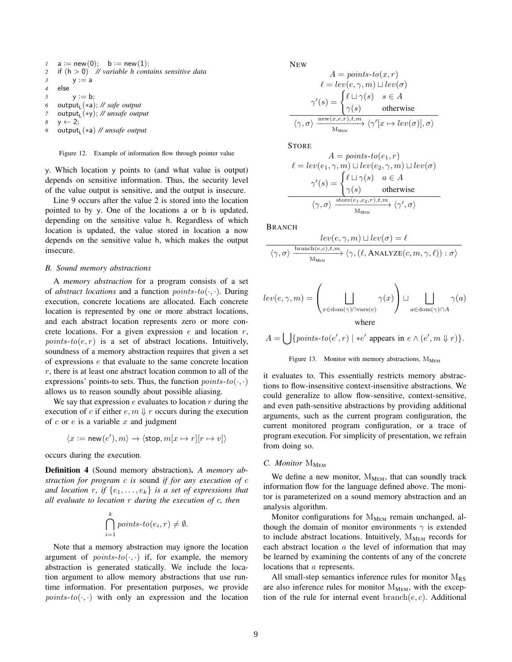```
1 a := new(0); b := new(1);
2 if (h > 0) // variable h contains sensitive data
3 y := a
4 else
5 y := b;
6 output<sub>L</sub>(*a); // safe output
7 output<sub>L</sub>(*y); // unsafe output
8 y ← 2;
9 output<sub>L</sub>(*a) // unsafe output
```
Figure 12. Example of information flow through pointer value

y. Which location y points to (and what value is output) depends on sensitive information. Thus, the security level of the value output is sensitive, and the output is insecure.

Line 9 occurs after the value 2 is stored into the location pointed to by y. One of the locations a or b is updated, depending on the sensitive value h. Regardless of which location is updated, the value stored in location a now depends on the sensitive value h, which makes the output insecure.

#### *B. Sound memory abstractions*

A *memory abstraction* for a program consists of a set of *abstract locations* and a function *points-to* $(\cdot, \cdot)$ . During execution, concrete locations are allocated. Each concrete location is represented by one or more abstract locations, and each abstract location represents zero or more concrete locations. For a given expression  $e$  and location  $r$ , *points-to(e, r)* is a set of abstract locations. Intuitively, soundness of a memory abstraction requires that given a set of expressions e that evaluate to the same concrete location  $r$ , there is at least one abstract location common to all of the expressions' points-to sets. Thus, the function *points-to* $(\cdot, \cdot)$ allows us to reason soundly about possible aliasing.

We say that expression  $e$  evaluates to location  $r$  during the execution of c if either  $e, m \Downarrow r$  occurs during the execution of  $c$  or  $e$  is a variable  $x$  and judgment

$$
\langle x := \mathsf{new}(e'), m \rangle \to \langle \mathsf{stop}, m[x \mapsto r][r \mapsto v] \rangle
$$

occurs during the execution.

Definition 4 (Sound memory abstraction). *A memory abstraction for program* c *is* sound *if for any execution of* c *and location* r*, if* {e1, . . . , ek} *is a set of expressions that all evaluate to location* r *during the execution of* c*, then*

$$
\bigcap_{i=1}^{k} points\text{-}to(e_i,r)\neq\emptyset.
$$

Note that a memory abstraction may ignore the location argument of *points-to* $(\cdot, \cdot)$  if, for example, the memory abstraction is generated statically. We include the location argument to allow memory abstractions that use runtime information. For presentation purposes, we provide  $points-to(\cdot, \cdot)$  with only an expression and the location NEW

$$
A = points \text{-} to(x, r)
$$

$$
\ell = lev(e, \gamma, m) \sqcup lev(\sigma)
$$

$$
\gamma'(s) = \begin{cases} \ell \sqcup \gamma(s) & s \in A \\ \gamma(s) & \text{otherwise} \end{cases}
$$

$$
\langle \gamma, \sigma \rangle \xrightarrow{\text{new}(x, e, r), t, m} \langle \gamma'[x \mapsto lev(\sigma)], \sigma \rangle
$$

**STORE** 

$$
A = points\text{-}to(e_1,r)
$$
  
\n
$$
\ell = lev(e_1, \gamma, m) \sqcup lev(e_2, \gamma, m) \sqcup lev(\sigma)
$$
  
\n
$$
\gamma'(s) = \begin{cases} \ell \sqcup \gamma(s) & a \in A \\ \gamma(s) & \text{otherwise} \end{cases}
$$
  
\n
$$
\langle \gamma, \sigma \rangle \xrightarrow{\text{store}(e_1, e_2, r), t, m} \langle \gamma', \sigma \rangle
$$

BRANCH

$$
\frac{lev(e, \gamma, m) \sqcup lev(\sigma) = \ell}{\langle \gamma, \sigma \rangle \xrightarrow{\text{branch}(e, c), t, m} \langle \gamma, (\ell, \text{ANALYZE}(c, m, \gamma, \ell)) : \sigma \rangle}
$$

$$
lev(e, \gamma, m) = \left(\bigsqcup_{x \in \text{dom}(\gamma) \cap \text{vars}(e)} \gamma(x)\right) \sqcup \bigsqcup_{a \in \text{dom}(\gamma) \cap A} \gamma(a)
$$
 where

$$
A = \bigcup \{points\text{-}to(e',r) \mid \text{*}e' \text{ appears in } e \land (e',m \Downarrow r)\}.
$$

Figure 13. Monitor with memory abstractions,  $M_{MEM}$ 

it evaluates to. This essentially restricts memory abstractions to flow-insensitive context-insensitive abstractions. We could generalize to allow flow-sensitive, context-sensitive, and even path-sensitive abstractions by providing additional arguments, such as the current program configuration, the current monitored program configuration, or a trace of program execution. For simplicity of presentation, we refrain from doing so.

# *C. Monitor* M<sub>MEM</sub>

We define a new monitor,  $M_{MEM}$ , that can soundly track information flow for the language defined above. The monitor is parameterized on a sound memory abstraction and an analysis algorithm.

Monitor configurations for  $M_{MEM}$  remain unchanged, although the domain of monitor environments  $\gamma$  is extended to include abstract locations. Intuitively,  $M_{MEM}$  records for each abstract location  $a$  the level of information that may be learned by examining the contents of any of the concrete locations that a represents.

All small-step semantics inference rules for monitor  $M_{RS}$ are also inference rules for monitor  $M_{MEM}$ , with the exception of the rule for internal event  $branch(e, c)$ . Additional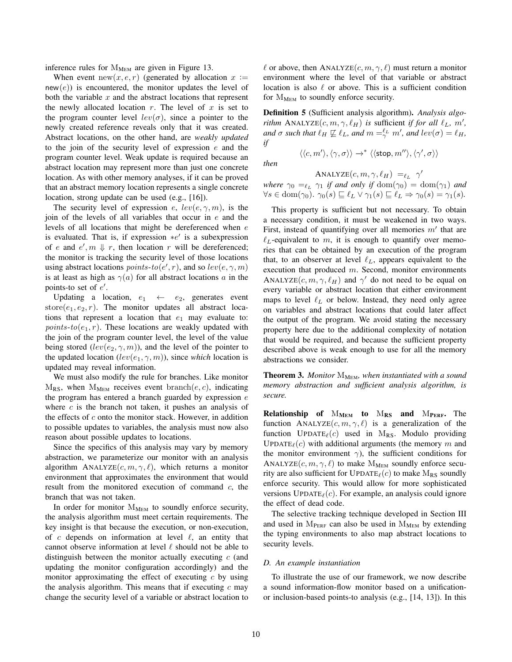inference rules for  $M_{MEM}$  are given in Figure 13.

When event new(x, e, r) (generated by allocation  $x :=$  $new(e)$ ) is encountered, the monitor updates the level of both the variable  $x$  and the abstract locations that represent the newly allocated location  $r$ . The level of  $x$  is set to the program counter level  $lev(\sigma)$ , since a pointer to the newly created reference reveals only that it was created. Abstract locations, on the other hand, are *weakly updated* to the join of the security level of expression  $e$  and the program counter level. Weak update is required because an abstract location may represent more than just one concrete location. As with other memory analyses, if it can be proved that an abstract memory location represents a single concrete location, strong update can be used (e.g., [16]).

The security level of expression e,  $lev(e, \gamma, m)$ , is the join of the levels of all variables that occur in e and the levels of all locations that might be dereferenced when e is evaluated. That is, if expression  $*e'$  is a subexpression of e and  $e', m \Downarrow r$ , then location r will be dereferenced; the monitor is tracking the security level of those locations using abstract locations  $points-to(e', r)$ , and so  $lev(e, \gamma, m)$ is at least as high as  $\gamma(a)$  for all abstract locations a in the points-to set of  $e'$ .

Updating a location,  $e_1 \leftarrow e_2$ , generates event store( $e_1, e_2, r$ ). The monitor updates all abstract locations that represent a location that  $e_1$  may evaluate to: *points-to*( $e_1$ ,  $r$ ). These locations are weakly updated with the join of the program counter level, the level of the value being stored  $(lev(e_2, \gamma, m))$ , and the level of the pointer to the updated location  $(lev(e_1, \gamma, m))$ , since *which* location is updated may reveal information.

We must also modify the rule for branches. Like monitor  $M_{RS}$ , when  $M_{MEM}$  receives event branch(e, c), indicating the program has entered a branch guarded by expression  $e$ where  $c$  is the branch not taken, it pushes an analysis of the effects of  $c$  onto the monitor stack. However, in addition to possible updates to variables, the analysis must now also reason about possible updates to locations.

Since the specifics of this analysis may vary by memory abstraction, we parameterize our monitor with an analysis algorithm ANALYZE $(c, m, \gamma, \ell)$ , which returns a monitor environment that approximates the environment that would result from the monitored execution of command c, the branch that was not taken.

In order for monitor  $M_{MEM}$  to soundly enforce security, the analysis algorithm must meet certain requirements. The key insight is that because the execution, or non-execution, of c depends on information at level  $\ell$ , an entity that cannot observe information at level  $\ell$  should not be able to distinguish between the monitor actually executing  $c$  (and updating the monitor configuration accordingly) and the monitor approximating the effect of executing  $c$  by using the analysis algorithm. This means that if executing  $c$  may change the security level of a variable or abstract location to  $\ell$  or above, then ANALYZE $(c, m, \gamma, \ell)$  must return a monitor environment where the level of that variable or abstract location is also  $\ell$  or above. This is a sufficient condition for  $M_{MEM}$  to soundly enforce security.

Definition 5 (Sufficient analysis algorithm). *Analysis algorithm* ANALYZE $(c, m, \gamma, \ell_H)$  *is sufficient if for all*  $\ell_L$ ,  $m'$ , *and*  $\sigma$  *such that*  $\ell_H \not\sqsubseteq \ell_L$ *, and*  $m =^{\ell_L}_{\gamma} m'$ *, and*  $lev(\sigma) = \ell_H$ *, if*

$$
\langle \langle c, m' \rangle, \langle \gamma, \sigma \rangle \rangle \rightarrow^* \langle \langle \textsf{stop}, m'' \rangle, \langle \gamma', \sigma \rangle \rangle
$$

*then*

ANALYZE $(c, m, \gamma, \ell_H) =_{\ell_L} \gamma'$ 

*where*  $\gamma_0 =_{\ell_L} \gamma_1$  *if and only if*  $dom(\gamma_0) = dom(\gamma_1)$  *and*  $\forall s \in \text{dom}(\gamma_0)$ .  $\gamma_0(s) \sqsubseteq \ell_L \vee \gamma_1(s) \sqsubseteq \ell_L \Rightarrow \gamma_0(s) = \gamma_1(s)$ .

This property is sufficient but not necessary. To obtain a necessary condition, it must be weakened in two ways. First, instead of quantifying over all memories  $m'$  that are  $\ell_L$ -equivalent to m, it is enough to quantify over memories that can be obtained by an execution of the program that, to an observer at level  $\ell_L$ , appears equivalent to the execution that produced  $m$ . Second, monitor environments ANALYZE $(c, m, \gamma, \ell_H)$  and  $\gamma'$  do not need to be equal on every variable or abstract location that either environment maps to level  $\ell_L$  or below. Instead, they need only agree on variables and abstract locations that could later affect the output of the program. We avoid stating the necessary property here due to the additional complexity of notation that would be required, and because the sufficient property described above is weak enough to use for all the memory abstractions we consider.

Theorem 3. Monitor  $M_{MEM}$ , when instantiated with a sound *memory abstraction and sufficient analysis algorithm, is secure.*

Relationship of  $M_{MEM}$  to  $M_{RS}$  and  $M_{PERF}$ . The function ANALYZE $(c, m, \gamma, \ell)$  is a generalization of the function UPDATE<sub> $\ell$ </sub>(c) used in M<sub>RS</sub>. Modulo providing UPDATE<sub> $\ell$ </sub>(c) with additional arguments (the memory m and the monitor environment  $\gamma$ ), the sufficient conditions for ANALYZE $(c, m, \gamma, \ell)$  to make  $M_{MEM}$  soundly enforce security are also sufficient for UPDATE $_{\ell}(c)$  to make M<sub>RS</sub> soundly enforce security. This would allow for more sophisticated versions  $UPDATE<sub>ℓ</sub>(c)$ . For example, an analysis could ignore the effect of dead code.

The selective tracking technique developed in Section III and used in  $M_{PERF}$  can also be used in  $M_{MEM}$  by extending the typing environments to also map abstract locations to security levels.

#### *D. An example instantiation*

To illustrate the use of our framework, we now describe a sound information-flow monitor based on a unificationor inclusion-based points-to analysis (e.g., [14, 13]). In this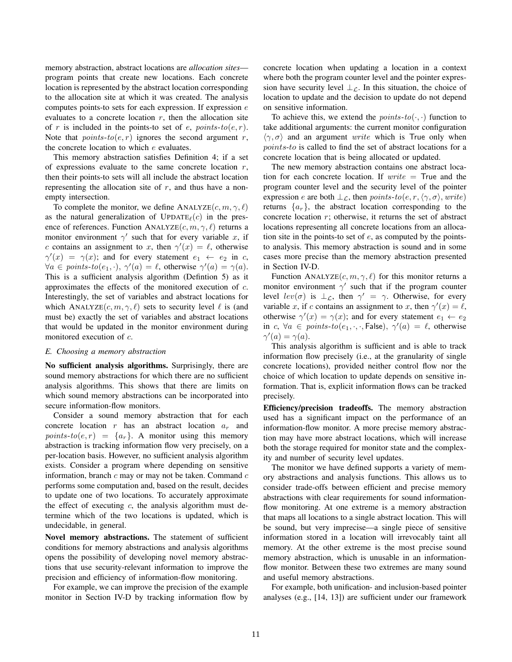memory abstraction, abstract locations are *allocation sites* program points that create new locations. Each concrete location is represented by the abstract location corresponding to the allocation site at which it was created. The analysis computes points-to sets for each expression. If expression e evaluates to a concrete location  $r$ , then the allocation site of r is included in the points-to set of e, points-to(e, r). Note that  $points-to(e, r)$  ignores the second argument r, the concrete location to which e evaluates.

This memory abstraction satisfies Definition 4; if a set of expressions evaluate to the same concrete location  $r$ , then their points-to sets will all include the abstract location representing the allocation site of  $r$ , and thus have a nonempty intersection.

To complete the monitor, we define  $\text{ANALYZE}(c, m, \gamma, \ell)$ as the natural generalization of  $UPDATE_{\ell}(c)$  in the presence of references. Function ANALYZE $(c, m, \gamma, \ell)$  returns a monitor environment  $\gamma'$  such that for every variable x, if c contains an assignment to x, then  $\gamma'(x) = \ell$ , otherwise  $\gamma'(x) = \gamma(x)$ ; and for every statement  $e_1 \leftarrow e_2$  in c,  $\forall a \in points \text{-}to(e_1, \cdot), \ \gamma'(a) = \ell, \ \text{otherwise} \ \gamma'(a) = \gamma(a).$ This is a sufficient analysis algorithm (Defintion 5) as it approximates the effects of the monitored execution of c. Interestingly, the set of variables and abstract locations for which ANALYZE $(c, m, \gamma, \ell)$  sets to security level  $\ell$  is (and must be) exactly the set of variables and abstract locations that would be updated in the monitor environment during monitored execution of c.

#### *E. Choosing a memory abstraction*

No sufficient analysis algorithms. Surprisingly, there are sound memory abstractions for which there are no sufficient analysis algorithms. This shows that there are limits on which sound memory abstractions can be incorporated into secure information-flow monitors.

Consider a sound memory abstraction that for each concrete location r has an abstract location  $a_r$  and  $points-to(e, r) = \{a_r\}.$  A monitor using this memory abstraction is tracking information flow very precisely, on a per-location basis. However, no sufficient analysis algorithm exists. Consider a program where depending on sensitive information, branch  $c$  may or may not be taken. Command  $c$ performs some computation and, based on the result, decides to update one of two locations. To accurately approximate the effect of executing  $c$ , the analysis algorithm must determine which of the two locations is updated, which is undecidable, in general.

Novel memory abstractions. The statement of sufficient conditions for memory abstractions and analysis algorithms opens the possibility of developing novel memory abstractions that use security-relevant information to improve the precision and efficiency of information-flow monitoring.

For example, we can improve the precision of the example monitor in Section IV-D by tracking information flow by concrete location when updating a location in a context where both the program counter level and the pointer expression have security level  $\perp_{\mathcal{L}}$ . In this situation, the choice of location to update and the decision to update do not depend on sensitive information.

To achieve this, we extend the *points-to* $(\cdot, \cdot)$  function to take additional arguments: the current monitor configuration  $\langle \gamma, \sigma \rangle$  and an argument write which is True only when points-to is called to find the set of abstract locations for a concrete location that is being allocated or updated.

The new memory abstraction contains one abstract location for each concrete location. If  $write = True$  and the program counter level and the security level of the pointer expression e are both  $\perp_{\mathcal{L}}$ , then points-to(e, r,  $\langle \gamma, \sigma \rangle$ , write) returns  $\{a_r\}$ , the abstract location corresponding to the concrete location  $r$ ; otherwise, it returns the set of abstract locations representing all concrete locations from an allocation site in the points-to set of  $e$ , as computed by the pointsto analysis. This memory abstraction is sound and in some cases more precise than the memory abstraction presented in Section IV-D.

Function ANALYZE $(c, m, \gamma, \ell)$  for this monitor returns a monitor environment  $\gamma'$  such that if the program counter level  $lev(\sigma)$  is  $\perp_{\mathcal{L}}$ , then  $\gamma' = \gamma$ . Otherwise, for every variable x, if c contains an assignment to x, then  $\gamma'(x) = \ell$ , otherwise  $\gamma'(x) = \gamma(x)$ ; and for every statement  $e_1 \leftarrow e_2$ in  $c, \forall a \in points-to(e_1, \cdot, \cdot, \text{False}), \ \gamma'(a) = \ell$ , otherwise  $\gamma'(a) = \gamma(a).$ 

This analysis algorithm is sufficient and is able to track information flow precisely (i.e., at the granularity of single concrete locations), provided neither control flow nor the choice of which location to update depends on sensitive information. That is, explicit information flows can be tracked precisely.

Efficiency/precision tradeoffs. The memory abstraction used has a significant impact on the performance of an information-flow monitor. A more precise memory abstraction may have more abstract locations, which will increase both the storage required for monitor state and the complexity and number of security level updates.

The monitor we have defined supports a variety of memory abstractions and analysis functions. This allows us to consider trade-offs between efficient and precise memory abstractions with clear requirements for sound informationflow monitoring. At one extreme is a memory abstraction that maps all locations to a single abstract location. This will be sound, but very imprecise—a single piece of sensitive information stored in a location will irrevocably taint all memory. At the other extreme is the most precise sound memory abstraction, which is unusable in an informationflow monitor. Between these two extremes are many sound and useful memory abstractions.

For example, both unification- and inclusion-based pointer analyses (e.g., [14, 13]) are sufficient under our framework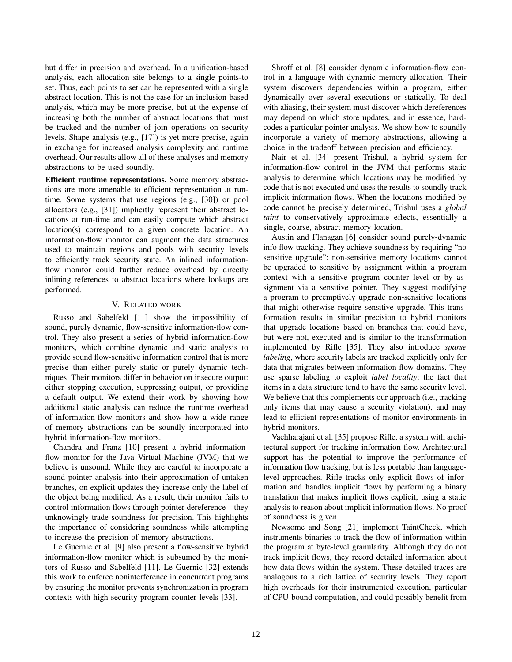but differ in precision and overhead. In a unification-based analysis, each allocation site belongs to a single points-to set. Thus, each points to set can be represented with a single abstract location. This is not the case for an inclusion-based analysis, which may be more precise, but at the expense of increasing both the number of abstract locations that must be tracked and the number of join operations on security levels. Shape analysis (e.g., [17]) is yet more precise, again in exchange for increased analysis complexity and runtime overhead. Our results allow all of these analyses and memory abstractions to be used soundly.

Efficient runtime representations. Some memory abstractions are more amenable to efficient representation at runtime. Some systems that use regions (e.g., [30]) or pool allocators (e.g., [31]) implicitly represent their abstract locations at run-time and can easily compute which abstract location(s) correspond to a given concrete location. An information-flow monitor can augment the data structures used to maintain regions and pools with security levels to efficiently track security state. An inlined informationflow monitor could further reduce overhead by directly inlining references to abstract locations where lookups are performed.

### V. RELATED WORK

Russo and Sabelfeld [11] show the impossibility of sound, purely dynamic, flow-sensitive information-flow control. They also present a series of hybrid information-flow monitors, which combine dynamic and static analysis to provide sound flow-sensitive information control that is more precise than either purely static or purely dynamic techniques. Their monitors differ in behavior on insecure output: either stopping execution, suppressing output, or providing a default output. We extend their work by showing how additional static analysis can reduce the runtime overhead of information-flow monitors and show how a wide range of memory abstractions can be soundly incorporated into hybrid information-flow monitors.

Chandra and Franz [10] present a hybrid informationflow monitor for the Java Virtual Machine (JVM) that we believe is unsound. While they are careful to incorporate a sound pointer analysis into their approximation of untaken branches, on explicit updates they increase only the label of the object being modified. As a result, their monitor fails to control information flows through pointer dereference—they unknowingly trade soundness for precision. This highlights the importance of considering soundness while attempting to increase the precision of memory abstractions.

Le Guernic et al. [9] also present a flow-sensitive hybrid information-flow monitor which is subsumed by the monitors of Russo and Sabelfeld [11]. Le Guernic [32] extends this work to enforce noninterference in concurrent programs by ensuring the monitor prevents synchronization in program contexts with high-security program counter levels [33].

Shroff et al. [8] consider dynamic information-flow control in a language with dynamic memory allocation. Their system discovers dependencies within a program, either dynamically over several executions or statically. To deal with aliasing, their system must discover which dereferences may depend on which store updates, and in essence, hardcodes a particular pointer analysis. We show how to soundly incorporate a variety of memory abstractions, allowing a choice in the tradeoff between precision and efficiency.

Nair et al. [34] present Trishul, a hybrid system for information-flow control in the JVM that performs static analysis to determine which locations may be modified by code that is not executed and uses the results to soundly track implicit information flows. When the locations modified by code cannot be precisely determined, Trishul uses a *global taint* to conservatively approximate effects, essentially a single, coarse, abstract memory location.

Austin and Flanagan [6] consider sound purely-dynamic info flow tracking. They achieve soundness by requiring "no sensitive upgrade": non-sensitive memory locations cannot be upgraded to sensitive by assignment within a program context with a sensitive program counter level or by assignment via a sensitive pointer. They suggest modifying a program to preemptively upgrade non-sensitive locations that might otherwise require sensitive upgrade. This transformation results in similar precision to hybrid monitors that upgrade locations based on branches that could have, but were not, executed and is similar to the transformation implemented by Rifle [35]. They also introduce *sparse labeling*, where security labels are tracked explicitly only for data that migrates between information flow domains. They use sparse labeling to exploit *label locality*: the fact that items in a data structure tend to have the same security level. We believe that this complements our approach (i.e., tracking only items that may cause a security violation), and may lead to efficient representations of monitor environments in hybrid monitors.

Vachharajani et al. [35] propose Rifle, a system with architectural support for tracking information flow. Architectural support has the potential to improve the performance of information flow tracking, but is less portable than languagelevel approaches. Rifle tracks only explicit flows of information and handles implicit flows by performing a binary translation that makes implicit flows explicit, using a static analysis to reason about implicit information flows. No proof of soundness is given.

Newsome and Song [21] implement TaintCheck, which instruments binaries to track the flow of information within the program at byte-level granularity. Although they do not track implicit flows, they record detailed information about how data flows within the system. These detailed traces are analogous to a rich lattice of security levels. They report high overheads for their instrumented execution, particular of CPU-bound computation, and could possibly benefit from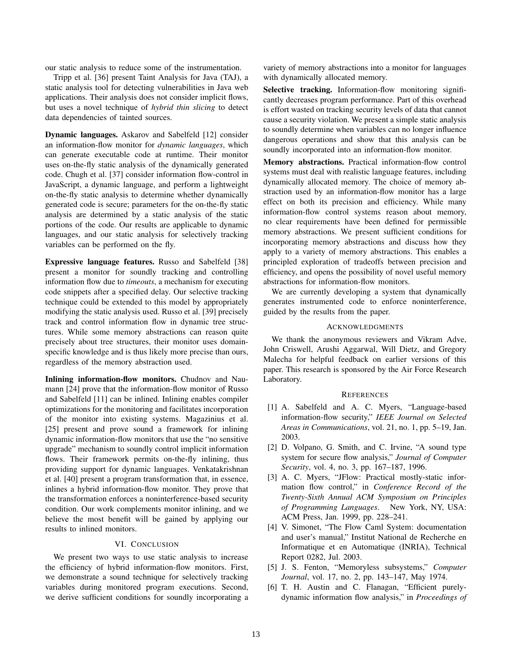our static analysis to reduce some of the instrumentation.

Tripp et al. [36] present Taint Analysis for Java (TAJ), a static analysis tool for detecting vulnerabilities in Java web applications. Their analysis does not consider implicit flows, but uses a novel technique of *hybrid thin slicing* to detect data dependencies of tainted sources.

Dynamic languages. Askarov and Sabelfeld [12] consider an information-flow monitor for *dynamic languages*, which can generate executable code at runtime. Their monitor uses on-the-fly static analysis of the dynamically generated code. Chugh et al. [37] consider information flow-control in JavaScript, a dynamic language, and perform a lightweight on-the-fly static analysis to determine whether dynamically generated code is secure; parameters for the on-the-fly static analysis are determined by a static analysis of the static portions of the code. Our results are applicable to dynamic languages, and our static analysis for selectively tracking variables can be performed on the fly.

Expressive language features. Russo and Sabelfeld [38] present a monitor for soundly tracking and controlling information flow due to *timeouts*, a mechanism for executing code snippets after a specified delay. Our selective tracking technique could be extended to this model by appropriately modifying the static analysis used. Russo et al. [39] precisely track and control information flow in dynamic tree structures. While some memory abstractions can reason quite precisely about tree structures, their monitor uses domainspecific knowledge and is thus likely more precise than ours, regardless of the memory abstraction used.

Inlining information-flow monitors. Chudnov and Naumann [24] prove that the information-flow monitor of Russo and Sabelfeld [11] can be inlined. Inlining enables compiler optimizations for the monitoring and facilitates incorporation of the monitor into existing systems. Magazinius et al. [25] present and prove sound a framework for inlining dynamic information-flow monitors that use the "no sensitive upgrade" mechanism to soundly control implicit information flows. Their framework permits on-the-fly inlining, thus providing support for dynamic languages. Venkatakrishnan et al. [40] present a program transformation that, in essence, inlines a hybrid information-flow monitor. They prove that the transformation enforces a noninterference-based security condition. Our work complements monitor inlining, and we believe the most benefit will be gained by applying our results to inlined monitors.

### VI. CONCLUSION

We present two ways to use static analysis to increase the efficiency of hybrid information-flow monitors. First, we demonstrate a sound technique for selectively tracking variables during monitored program executions. Second, we derive sufficient conditions for soundly incorporating a variety of memory abstractions into a monitor for languages with dynamically allocated memory.

Selective tracking. Information-flow monitoring significantly decreases program performance. Part of this overhead is effort wasted on tracking security levels of data that cannot cause a security violation. We present a simple static analysis to soundly determine when variables can no longer influence dangerous operations and show that this analysis can be soundly incorporated into an information-flow monitor.

Memory abstractions. Practical information-flow control systems must deal with realistic language features, including dynamically allocated memory. The choice of memory abstraction used by an information-flow monitor has a large effect on both its precision and efficiency. While many information-flow control systems reason about memory, no clear requirements have been defined for permissible memory abstractions. We present sufficient conditions for incorporating memory abstractions and discuss how they apply to a variety of memory abstractions. This enables a principled exploration of tradeoffs between precision and efficiency, and opens the possibility of novel useful memory abstractions for information-flow monitors.

We are currently developing a system that dynamically generates instrumented code to enforce noninterference, guided by the results from the paper.

# ACKNOWLEDGMENTS

We thank the anonymous reviewers and Vikram Adve, John Criswell, Arushi Aggarwal, Will Dietz, and Gregory Malecha for helpful feedback on earlier versions of this paper. This research is sponsored by the Air Force Research Laboratory.

### **REFERENCES**

- [1] A. Sabelfeld and A. C. Myers, "Language-based information-flow security," *IEEE Journal on Selected Areas in Communications*, vol. 21, no. 1, pp. 5–19, Jan. 2003.
- [2] D. Volpano, G. Smith, and C. Irvine, "A sound type system for secure flow analysis," *Journal of Computer Security*, vol. 4, no. 3, pp. 167–187, 1996.
- [3] A. C. Myers, "JFlow: Practical mostly-static information flow control," in *Conference Record of the Twenty-Sixth Annual ACM Symposium on Principles of Programming Languages*. New York, NY, USA: ACM Press, Jan. 1999, pp. 228–241.
- [4] V. Simonet, "The Flow Caml System: documentation and user's manual," Institut National de Recherche en Informatique et en Automatique (INRIA), Technical Report 0282, Jul. 2003.
- [5] J. S. Fenton, "Memoryless subsystems," *Computer Journal*, vol. 17, no. 2, pp. 143–147, May 1974.
- [6] T. H. Austin and C. Flanagan, "Efficient purelydynamic information flow analysis," in *Proceedings of*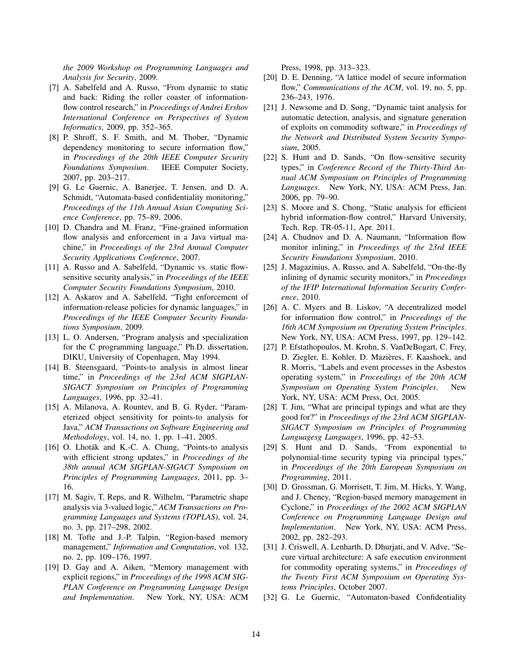*the 2009 Workshop on Programming Languages and Analysis for Security*, 2009.

- [7] A. Sabelfeld and A. Russo, "From dynamic to static and back: Riding the roller coaster of informationflow control research," in *Proceedings of Andrei Ershov International Conference on Perspectives of System Informatics*, 2009, pp. 352–365.
- [8] P. Shroff, S. F. Smith, and M. Thober, "Dynamic dependency monitoring to secure information flow," in *Proceedings of the 20th IEEE Computer Security Foundations Symposium*. IEEE Computer Society, 2007, pp. 203–217.
- [9] G. Le Guernic, A. Banerjee, T. Jensen, and D. A. Schmidt, "Automata-based confidentiality monitoring," *Proceedings of the 11th Annual Asian Computing Science Conference*, pp. 75–89, 2006.
- [10] D. Chandra and M. Franz, "Fine-grained information flow analysis and enforcement in a Java virtual machine," in *Proceedings of the 23rd Annual Computer Security Applications Conference*, 2007.
- [11] A. Russo and A. Sabelfeld, "Dynamic vs. static flowsensitive security analysis," in *Proceedings of the IEEE Computer Security Foundations Symposium*, 2010.
- [12] A. Askarov and A. Sabelfeld, "Tight enforcement of information-release policies for dynamic languages," in *Proceedings of the IEEE Computer Security Foundations Symposium*, 2009.
- [13] L. O. Andersen, "Program analysis and specialization for the C programming language," Ph.D. dissertation, DIKU, University of Copenhagen, May 1994.
- [14] B. Steensgaard, "Points-to analysis in almost linear time," in *Proceedings of the 23rd ACM SIGPLAN-SIGACT Symposium on Principles of Programming Languages*, 1996, pp. 32–41.
- [15] A. Milanova, A. Rountev, and B. G. Ryder, "Parameterized object sensitivity for points-to analysis for Java," *ACM Transactions on Software Engineering and Methodology*, vol. 14, no. 1, pp. 1–41, 2005.
- [16] O. Lhoták and K.-C. A. Chung, "Points-to analysis with efficient strong updates," in *Proceedings of the 38th annual ACM SIGPLAN-SIGACT Symposium on Principles of Programming Languages*, 2011, pp. 3– 16.
- [17] M. Sagiv, T. Reps, and R. Wilhelm, "Parametric shape analysis via 3-valued logic," *ACM Transactions on Programming Languages and Systems (TOPLAS)*, vol. 24, no. 3, pp. 217–298, 2002.
- [18] M. Tofte and J.-P. Talpin, "Region-based memory management," *Information and Computation*, vol. 132, no. 2, pp. 109–176, 1997.
- [19] D. Gay and A. Aiken, "Memory management with explicit regions," in *Proceedings of the 1998 ACM SIG-PLAN Conference on Programming Language Design and Implementation*. New York, NY, USA: ACM

Press, 1998, pp. 313–323.

- [20] D. E. Denning, "A lattice model of secure information flow," *Communications of the ACM*, vol. 19, no. 5, pp. 236–243, 1976.
- [21] J. Newsome and D. Song, "Dynamic taint analysis for automatic detection, analysis, and signature generation of exploits on commodity software," in *Proceedings of the Network and Distributed System Security Symposium*, 2005.
- [22] S. Hunt and D. Sands, "On flow-sensitive security types," in *Conference Record of the Thirty-Third Annual ACM Symposium on Principles of Programming Languages*. New York, NY, USA: ACM Press, Jan. 2006, pp. 79–90.
- [23] S. Moore and S. Chong, "Static analysis for efficient hybrid information-flow control," Harvard University, Tech. Rep. TR-05-11, Apr. 2011.
- [24] A. Chudnov and D. A. Naumann, "Information flow monitor inlining," in *Proceedings of the 23rd IEEE Security Foundations Symposium*, 2010.
- [25] J. Magazinius, A. Russo, and A. Sabelfeld, "On-the-fly inlining of dynamic security monitors," in *Proceedings of the IFIP International Information Security Conference*, 2010.
- [26] A. C. Myers and B. Liskov, "A decentralized model for information flow control," in *Proceedings of the 16th ACM Symposium on Operating System Principles*. New York, NY, USA: ACM Press, 1997, pp. 129–142.
- [27] P. Efstathopoulos, M. Krohn, S. VanDeBogart, C. Frey, D. Ziegler, E. Kohler, D. Mazieres, F. Kaashoek, and ` R. Morris, "Labels and event processes in the Asbestos operating system," in *Proceedings of the 20th ACM Symposium on Operating System Principles*. New York, NY, USA: ACM Press, Oct. 2005.
- [28] T. Jim, "What are principal typings and what are they good for?" in *Proceedings of the 23rd ACM SIGPLAN-SIGACT Symposium on Principles of Programming Languagesg Languages*, 1996, pp. 42–53.
- [29] S. Hunt and D. Sands, "From exponential to polynomial-time security typing via principal types," in *Proceedings of the 20th European Symposium on Programming*, 2011.
- [30] D. Grossman, G. Morrisett, T. Jim, M. Hicks, Y. Wang, and J. Cheney, "Region-based memory management in Cyclone," in *Proceedings of the 2002 ACM SIGPLAN Conference on Programming Language Design and Implementation*. New York, NY, USA: ACM Press, 2002, pp. 282–293.
- [31] J. Criswell, A. Lenharth, D. Dhurjati, and V. Adve, "Secure virtual architecture: A safe execution environment for commodity operating systems," in *Proceedings of the Twenty First ACM Symposium on Operating Systems Principles*, October 2007.
- [32] G. Le Guernic, "Automaton-based Confidentiality